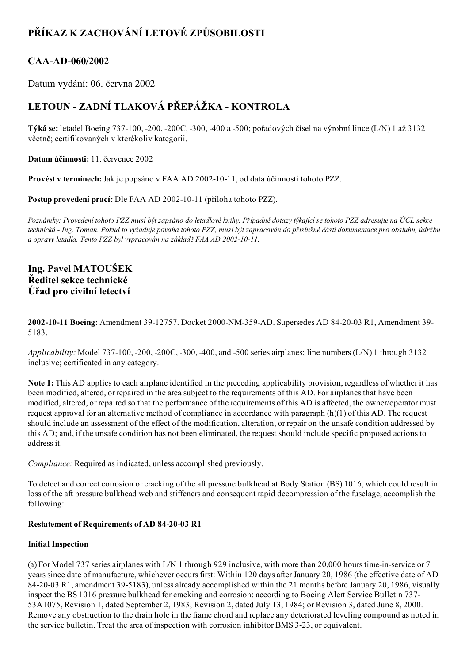# PŘÍKAZ K ZACHOVÁNÍ LETOVÉ ZPŮSOBILOSTI

# CAA-AD-060/2002

Datum vydání: 06. června 2002

# LETOUN - ZADNÍ TLAKOVÁ PŘEPÁŽKA - KONTROLA

Týká se: letadel Boeing 737100, 200, 200C, 300, 400 a 500; pořadových čísel na výrobní lince (L/N) 1 až 3132 včetně; certifikovaných v kterékoliv kategorii.

Datum účinnosti: 11. července 2002

Provést v termínech: Jak je popsáno v FAA AD 2002-10-11, od data účinnosti tohoto PZZ.

Postup provedení prací: Dle FAA AD 2002-10-11 (příloha tohoto PZZ).

Poznámky: Provedení tohoto PZZ musí být zapsáno do letadlové knihy. Případné dotazy týkající se tohoto PZZ adresujte na ÚCL sekce technická - Ing. Toman. Pokud to vyžaduje povaha tohoto PZZ, musí být zapracován do příslušné části dokumentace pro obsluhu, údržbu a opravy letadla. Tento PZZ byl vypracován na základě FAA AD 2002-10-11.

# Ing. Pavel MATOUŠEK Ředitel sekce technické Úřad pro civilní letectví

2002-10-11 Boeing: Amendment 39-12757. Docket 2000-NM-359-AD. Supersedes AD 84-20-03 R1, Amendment 39-5183.

Applicability: Model 737-100, -200, -200C, -300, -400, and -500 series airplanes; line numbers (L/N) 1 through 3132 inclusive; certificated in any category.

Note 1: This AD applies to each airplane identified in the preceding applicability provision, regardless of whether it has been modified, altered, or repaired in the area subject to the requirements of this AD. For airplanes that have been modified, altered, or repaired so that the performance of the requirements of this AD is affected, the owner/operator must request approval for an alternative method of compliance in accordance with paragraph (h)(1) of this AD. The request should include an assessment of the effect of the modification, alteration, or repair on the unsafe condition addressed by this AD; and, if the unsafe condition has not been eliminated, the request should include specific proposed actions to address it.

Compliance: Required as indicated, unless accomplished previously.

To detect and correct corrosion or cracking of the aft pressure bulkhead at Body Station (BS) 1016, which could result in loss of the aft pressure bulkhead web and stiffeners and consequent rapid decompression of the fuselage, accomplish the following:

# Restatement of Requirements of AD 84-20-03 R1

#### Initial Inspection

(a) For Model 737 series airplanes with L/N 1 through 929 inclusive, with more than 20,000 hours time-in-service or 7 years since date of manufacture, whichever occurs first: Within 120 days after January 20, 1986 (the effective date of AD 84-20-03 R1, amendment 39-5183), unless already accomplished within the 21 months before January 20, 1986, visually inspect the BS 1016 pressure bulkhead for cracking and corrosion; according to Boeing Alert Service Bulletin 737 53A1075, Revision 1, dated September 2, 1983; Revision 2, dated July 13, 1984; or Revision 3, dated June 8, 2000. Remove any obstruction to the drain hole in the frame chord and replace any deteriorated leveling compound as noted in the service bulletin. Treat the area of inspection with corrosion inhibitor BMS 323, or equivalent.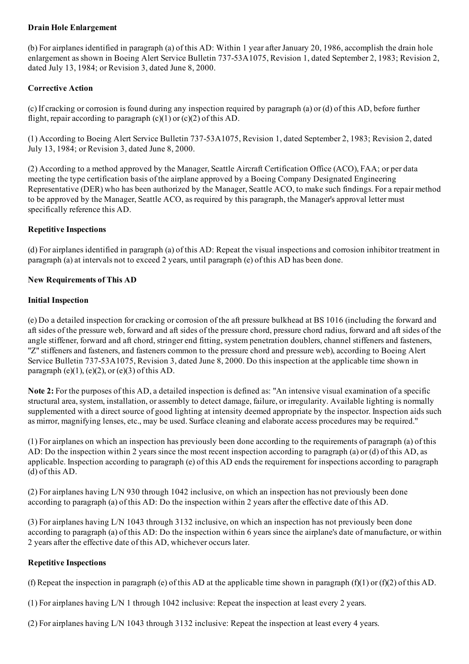# Drain Hole Enlargement

(b) For airplanes identified in paragraph (a) of this AD: Within 1 year afterJanuary 20, 1986, accomplish the drain hole enlargement as shown in Boeing Alert Service Bulletin 73753A1075, Revision 1, dated September 2, 1983; Revision 2, dated July 13, 1984; or Revision 3, dated June 8, 2000.

### Corrective Action

(c) If cracking or corrosion is found during any inspection required by paragraph (a) or (d) of this AD, before further flight, repair according to paragraph  $(c)(1)$  or  $(c)(2)$  of this AD.

(1) According to Boeing Alert Service Bulletin 737-53A1075, Revision 1, dated September 2, 1983; Revision 2, dated July 13, 1984; or Revision 3, dated June 8, 2000.

(2) According to a method approved by the Manager, Seattle Aircraft Certification Office (ACO), FAA; or per data meeting the type certification basis of the airplane approved by a Boeing Company Designated Engineering Representative (DER) who has been authorized by the Manager, Seattle ACO, to make such findings. For a repair method to be approved by the Manager, Seattle ACO, as required by this paragraph, the Manager's approval letter must specifically reference this AD.

#### Repetitive Inspections

(d) For airplanes identified in paragraph (a) of this AD: Repeat the visual inspections and corrosion inhibitor treatment in paragraph (a) at intervals not to exceed 2 years, until paragraph (e) of this AD has been done.

#### New Requirements of This AD

#### Initial Inspection

(e) Do a detailed inspection for cracking or corrosion of the aft pressure bulkhead at BS 1016 (including the forward and aft sides of the pressure web, forward and aft sides of the pressure chord, pressure chord radius, forward and aft sides of the angle stiffener, forward and aft chord, stringer end fitting, system penetration doublers, channel stiffeners and fasteners, "Z" stiffeners and fasteners, and fasteners common to the pressure chord and pressure web), according to Boeing Alert Service Bulletin 737-53A1075, Revision 3, dated June 8, 2000. Do this inspection at the applicable time shown in paragraph (e)(1), (e)(2), or (e)(3) of this AD.

Note 2: For the purposes of this AD, a detailed inspection is defined as: "An intensive visual examination of a specific structural area, system, installation, or assembly to detect damage, failure, or irregularity. Available lighting is normally supplemented with a direct source of good lighting at intensity deemed appropriate by the inspector. Inspection aids such as mirror, magnifying lenses, etc., may be used. Surface cleaning and elaborate access procedures may be required."

(1) For airplanes on which an inspection has previously been done according to the requirements of paragraph (a) of this AD: Do the inspection within 2 years since the most recent inspection according to paragraph (a) or (d) of this AD, as applicable. Inspection according to paragraph (e) of this AD ends the requirement for inspections according to paragraph (d) of this AD.

(2) For airplanes having L/N 930 through 1042 inclusive, on which an inspection has not previously been done according to paragraph (a) of this AD: Do the inspection within 2 years after the effective date of this AD.

(3) For airplanes having L/N 1043 through 3132 inclusive, on which an inspection has not previously been done according to paragraph (a) of this AD: Do the inspection within 6 years since the airplane's date of manufacture, or within 2 years after the effective date of this AD, whichever occurs later.

#### Repetitive Inspections

(f) Repeat the inspection in paragraph (e) of this AD at the applicable time shown in paragraph (f)(1) or (f)(2) of this AD.

(1) For airplanes having L/N 1 through 1042 inclusive: Repeat the inspection at least every 2 years.

(2) For airplanes having L/N 1043 through 3132 inclusive: Repeat the inspection at least every 4 years.